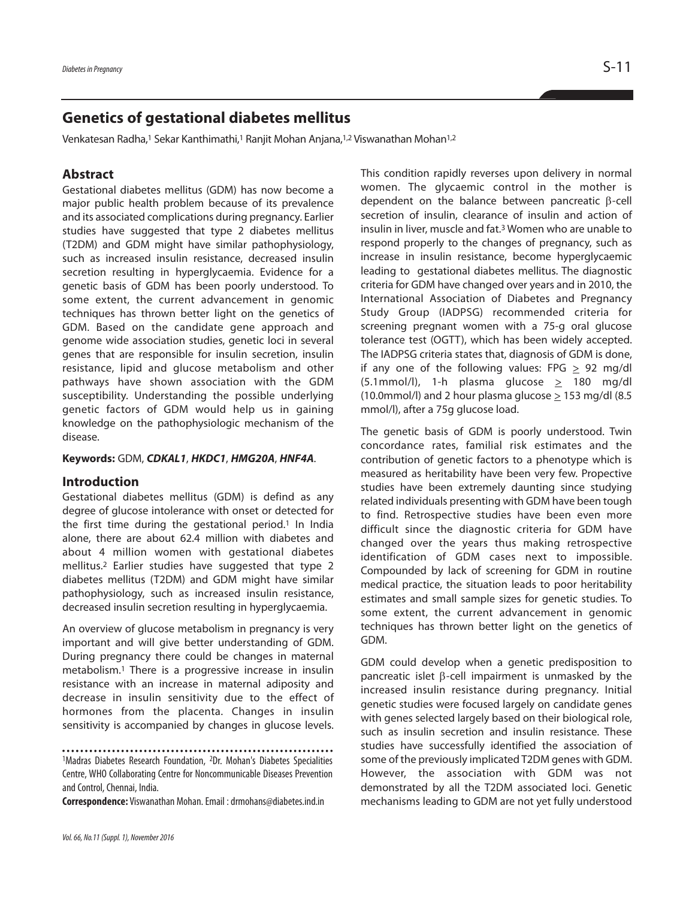# **Genetics of gestational diabetes mellitus**

Venkatesan Radha,<sup>1</sup> Sekar Kanthimathi,<sup>1</sup> Ranjit Mohan Anjana,<sup>1,2</sup> Viswanathan Mohan<sup>1,2</sup>

## **Abstract**

Gestational diabetes mellitus (GDM) has now become a major public health problem because of its prevalence and its associated complications during pregnancy. Earlier studies have suggested that type 2 diabetes mellitus (T2DM) and GDM might have similar pathophysiology, such as increased insulin resistance, decreased insulin secretion resulting in hyperglycaemia. Evidence for a genetic basis of GDM has been poorly understood. To some extent, the current advancement in genomic techniques has thrown better light on the genetics of GDM. Based on the candidate gene approach and genome wide association studies, genetic loci in several genes that are responsible for insulin secretion, insulin resistance, lipid and glucose metabolism and other pathways have shown association with the GDM susceptibility. Understanding the possible underlying genetic factors of GDM would help us in gaining knowledge on the pathophysiologic mechanism of the disease.

#### **Keywords:** GDM, *CDKAL1*, *HKDC1*, *HMG20A*, *HNF4A*.

#### **Introduction**

Gestational diabetes mellitus (GDM) is defind as any degree of glucose intolerance with onset or detected for the first time during the gestational period. <sup>1</sup> In India alone, there are about 62.4 million with diabetes and about 4 million women with gestational diabetes mellitus. <sup>2</sup> Earlier studies have suggested that type 2 diabetes mellitus (T2DM) and GDM might have similar pathophysiology, such as increased insulin resistance, decreased insulin secretion resulting in hyperglycaemia.

An overview of glucose metabolism in pregnancy is very important and will give better understanding of GDM. During pregnancy there could be changes in maternal metabolism. <sup>1</sup> There is a progressive increase in insulin resistance with an increase in maternal adiposity and decrease in insulin sensitivity due to the effect of hormones from the placenta. Changes in insulin sensitivity is accompanied by changes in glucose levels.

**Correspondence:** Viswanathan Mohan.Email :drmohans@diabetes.ind.in

This condition rapidly reverses upon delivery in normal women. The glycaemic control in the mother is dependent on the balance between pancreatic β-cell secretion of insulin, clearance of insulin and action of insulin in liver, muscle and fat. <sup>3</sup> Women who are unable to respond properly to the changes of pregnancy, such as increase in insulin resistance, become hyperglycaemic leading to gestational diabetes mellitus. The diagnostic criteria for GDM have changed over years and in 2010, the International Association of Diabetes and Pregnancy Study Group (IADPSG) recommended criteria for screening pregnant women with a 75-g oral glucose tolerance test (OGTT), which has been widely accepted. The IADPSG criteria states that, diagnosis of GDM is done, if any one of the following values: FPG  $\geq$  92 mg/dl (5.1mmol/l), 1-h plasma glucose > 180 mg/dl (10.0mmol/l) and 2 hour plasma glucose > 153 mg/dl (8.5 mmol/l), after a 75g glucose load.

The genetic basis of GDM is poorly understood. Twin concordance rates, familial risk estimates and the contribution of genetic factors to a phenotype which is measured as heritability have been very few. Propective studies have been extremely daunting since studying related individuals presenting with GDM have been tough to find. Retrospective studies have been even more difficult since the diagnostic criteria for GDM have changed over the years thus making retrospective identification of GDM cases next to impossible. Compounded by lack of screening for GDM in routine medical practice, the situation leads to poor heritability estimates and small sample sizes for genetic studies. To some extent, the current advancement in genomic techniques has thrown better light on the genetics of GDM.

GDM could develop when a genetic predisposition to pancreatic islet β-cell impairment is unmasked by the increased insulin resistance during pregnancy. Initial genetic studies were focused largely on candidate genes with genes selected largely based on their biological role, such as insulin secretion and insulin resistance. These studies have successfully identified the association of some of the previously implicated T2DM genes with GDM. However, the association with GDM was not demonstrated by all the T2DM associated loci. Genetic mechanisms leading to GDM are not yet fully understood

<sup>1</sup>Madras Diabetes Research Foundation, <sup>2</sup>Dr. Mohan's Diabetes Specialities Centre, WHO Collaborating Centre for Noncommunicable Diseases Prevention and Control, Chennai, India.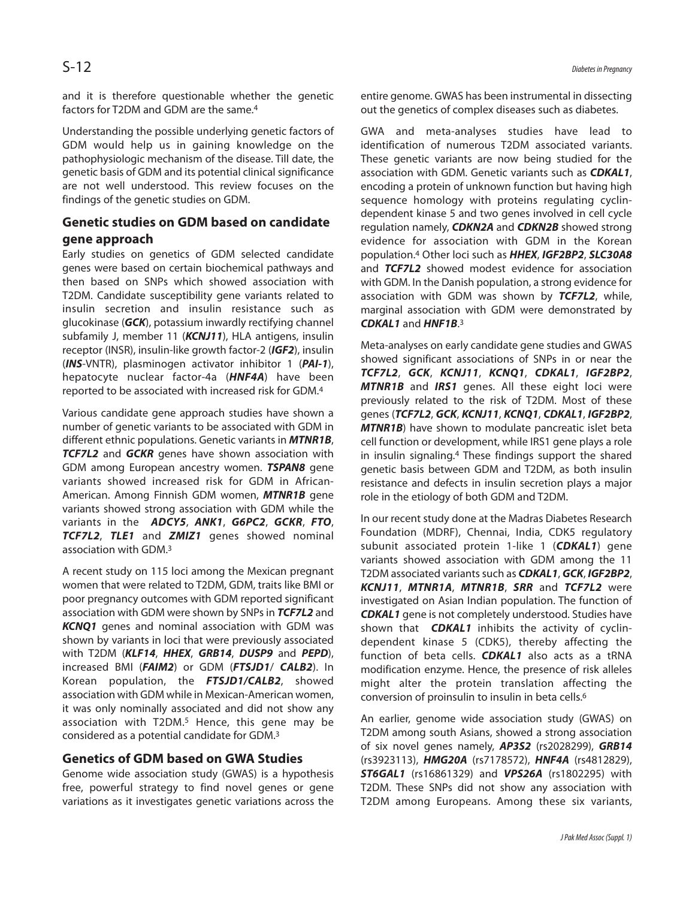and it is therefore questionable whether the genetic factors for T2DM and GDM are the same. 4

Understanding the possible underlying genetic factors of GDM would help us in gaining knowledge on the pathophysiologic mechanism of the disease. Till date, the genetic basis of GDM and its potential clinical significance are not well understood. This review focuses on the findings of the genetic studies on GDM.

# **Genetic studies on GDM based on candidate gene approach**

Early studies on genetics of GDM selected candidate genes were based on certain biochemical pathways and then based on SNPs which showed association with T2DM. Candidate susceptibility gene variants related to insulin secretion and insulin resistance such as glucokinase (*GCK*), potassium inwardly rectifying channel subfamily J, member 11 (*KCNJ11*), HLA antigens, insulin receptor (INSR), insulin-like growth factor-2 (*IGF2*), insulin (*INS*-VNTR), plasminogen activator inhibitor 1 (*PAI-1*), hepatocyte nuclear factor-4a (*HNF4A*) have been reported to be associated with increased risk for GDM. 4

Various candidate gene approach studies have shown a number of genetic variants to be associated with GDM in different ethnic populations. Genetic variants in *MTNR1B*, *TCF7L2* and *GCKR* genes have shown association with GDM among European ancestry women. *TSPAN8* gene variants showed increased risk for GDM in African-American. Among Finnish GDM women, *MTNR1B* gene variants showed strong association with GDM while the variants in the *ADCY5*, *ANK1*, *G6PC2*, *GCKR*, *FTO*, *TCF7L2*, *TLE1* and *ZMIZ1* genes showed nominal association with GDM. 3

A recent study on 115 loci among the Mexican pregnant women that were related to T2DM, GDM, traits like BMI or poor pregnancy outcomes with GDM reported significant association with GDM were shown by SNPs in *TCF7L2* and **KCNO1** genes and nominal association with GDM was shown by variants in loci that were previously associated with T2DM (*KLF14*, *HHEX*, *GRB14*, *DUSP9* and *PEPD*), increased BMI (*FAIM2*) or GDM (*FTSJD1*/ *CALB2*). In Korean population, the *FTSJD1/CALB2*, showed association with GDM while in Mexican-American women, it was only nominally associated and did not show any association with T2DM. <sup>5</sup> Hence, this gene may be considered as a potential candidate for GDM. 3

## **Genetics of GDM based on GWA Studies**

Genome wide association study (GWAS) is a hypothesis free, powerful strategy to find novel genes or gene variations as it investigates genetic variations across the entire genome. GWAS has been instrumental in dissecting out the genetics of complex diseases such as diabetes.

GWA and meta-analyses studies have lead to identification of numerous T2DM associated variants. These genetic variants are now being studied for the association with GDM. Genetic variants such as *CDKAL1*, encoding a protein of unknown function but having high sequence homology with proteins regulating cyclindependent kinase 5 and two genes involved in cell cycle regulation namely, *CDKN2A* and *CDKN2B* showed strong evidence for association with GDM in the Korean population. <sup>4</sup> Other loci such as *HHEX*, *IGF2BP2*, *SLC30A8* and *TCF7L2* showed modest evidence for association with GDM. In the Danish population, a strong evidence for association with GDM was shown by *TCF7L2*, while, marginal association with GDM were demonstrated by *CDKAL1* and *HNF1B*. 3

Meta-analyses on early candidate gene studies and GWAS showed significant associations of SNPs in or near the *TCF7L2*, *GCK*, *KCNJ11*, *KCNQ1*, *CDKAL1*, *IGF2BP2*, *MTNR1B* and *IRS1* genes. All these eight loci were previously related to the risk of T2DM. Most of these genes (*TCF7L2*, *GCK*, *KCNJ11*, *KCNQ1*, *CDKAL1*, *IGF2BP2*, **MTNR1B**) have shown to modulate pancreatic islet beta cell function or development, while IRS1 gene plays a role in insulin signaling. <sup>4</sup> These findings support the shared genetic basis between GDM and T2DM, as both insulin resistance and defects in insulin secretion plays a major role in the etiology of both GDM and T2DM.

In our recent study done at the Madras Diabetes Research Foundation (MDRF), Chennai, India, CDK5 regulatory subunit associated protein 1-like 1 (*CDKAL1*) gene variants showed association with GDM among the 11 T2DM associated variantssuch as *CDKAL1*, *GCK*, *IGF2BP2*, *KCNJ11*, *MTNR1A*, *MTNR1B*, *SRR* and *TCF7L2* were investigated on Asian Indian population. The function of *CDKAL1* gene is not completely understood. Studies have shown that *CDKAL1* inhibits the activity of cyclindependent kinase 5 (CDK5), thereby affecting the function of beta cells. *CDKAL1* also acts as a tRNA modification enzyme. Hence, the presence of risk alleles might alter the protein translation affecting the conversion of proinsulin to insulin in beta cells. 6

An earlier, genome wide association study (GWAS) on T2DM among south Asians, showed a strong association of six novel genes namely, *AP3S2* (rs2028299), *GRB14* (rs3923113), *HMG20A* (rs7178572), *HNF4A* (rs4812829), *ST6GAL1* (rs16861329) and *VPS26A* (rs1802295) with T2DM. These SNPs did not show any association with T2DM among Europeans. Among these six variants,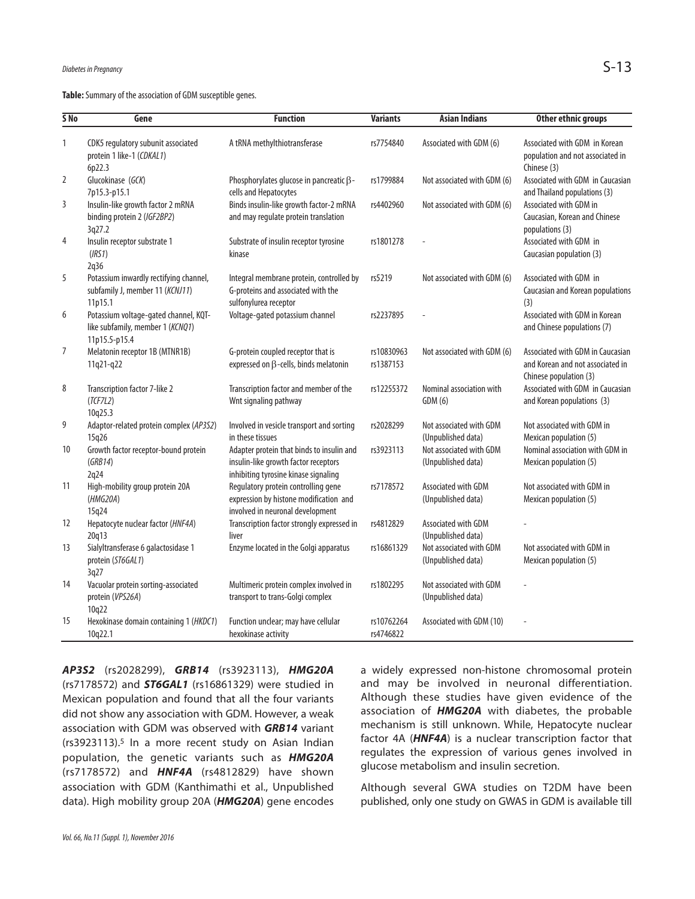Table: Summary of the association of GDM susceptible genes.

| 5N <sub>o</sub> | Gene                                                                                       | <b>Function</b>                                                                                                           | <b>Variants</b>         | <b>Asian Indians</b>                          | Other ethnic groups                                                                            |
|-----------------|--------------------------------------------------------------------------------------------|---------------------------------------------------------------------------------------------------------------------------|-------------------------|-----------------------------------------------|------------------------------------------------------------------------------------------------|
| 1               | CDK5 regulatory subunit associated<br>protein 1 like-1 (CDKAL1)<br>6p22.3                  | A tRNA methylthiotransferase                                                                                              | rs7754840               | Associated with GDM (6)                       | Associated with GDM in Korean<br>population and not associated in<br>Chinese (3)               |
| $\overline{2}$  | Glucokinase (GCK)<br>7p15.3-p15.1                                                          | Phosphorylates glucose in pancreatic $\beta$ -<br>cells and Hepatocytes                                                   | rs1799884               | Not associated with GDM (6)                   | Associated with GDM in Caucasian<br>and Thailand populations (3)                               |
| 3               | Insulin-like growth factor 2 mRNA<br>binding protein 2 (IGF2BP2)<br>3q27.2                 | Binds insulin-like growth factor-2 mRNA<br>and may regulate protein translation                                           | rs4402960               | Not associated with GDM (6)                   | Associated with GDM in<br>Caucasian, Korean and Chinese<br>populations (3)                     |
| 4               | Insulin receptor substrate 1<br>(IRS1)<br>2q36                                             | Substrate of insulin receptor tyrosine<br>kinase                                                                          | rs1801278               |                                               | Associated with GDM in<br>Caucasian population (3)                                             |
| 5               | Potassium inwardly rectifying channel,<br>subfamily J, member 11 (KCNJ11)<br>11p15.1       | Integral membrane protein, controlled by<br>G-proteins and associated with the<br>sulfonylurea receptor                   | rs5219                  | Not associated with GDM (6)                   | Associated with GDM in<br>Caucasian and Korean populations<br>(3)                              |
| 6               | Potassium voltage-gated channel, KQT-<br>like subfamily, member 1 (KCNQ1)<br>11p15.5-p15.4 | Voltage-gated potassium channel                                                                                           | rs2237895               |                                               | Associated with GDM in Korean<br>and Chinese populations (7)                                   |
| $\overline{7}$  | Melatonin receptor 1B (MTNR1B)<br>11q21-q22                                                | G-protein coupled receptor that is<br>expressed on $\beta$ -cells, binds melatonin                                        | rs10830963<br>rs1387153 | Not associated with GDM (6)                   | Associated with GDM in Caucasian<br>and Korean and not associated in<br>Chinese population (3) |
| 8               | Transcription factor 7-like 2<br>(TCFZL2)<br>10q25.3                                       | Transcription factor and member of the<br>Wnt signaling pathway                                                           | rs12255372              | Nominal association with<br>GDM(6)            | Associated with GDM in Caucasian<br>and Korean populations (3)                                 |
| 9               | Adaptor-related protein complex (AP3S2)<br>15q26                                           | Involved in vesicle transport and sorting<br>in these tissues                                                             | rs2028299               | Not associated with GDM<br>(Unpublished data) | Not associated with GDM in<br>Mexican population (5)                                           |
| 10              | Growth factor receptor-bound protein<br>(GRB14)<br>2q24                                    | Adapter protein that binds to insulin and<br>insulin-like growth factor receptors<br>inhibiting tyrosine kinase signaling | rs3923113               | Not associated with GDM<br>(Unpublished data) | Nominal association with GDM in<br>Mexican population (5)                                      |
| 11              | High-mobility group protein 20A<br>(HMG20A)<br>15q24                                       | Regulatory protein controlling gene<br>expression by histone modification and<br>involved in neuronal development         | rs7178572               | Associated with GDM<br>(Unpublished data)     | Not associated with GDM in<br>Mexican population (5)                                           |
| 12              | Hepatocyte nuclear factor (HNF4A)<br>20q13                                                 | Transcription factor strongly expressed in<br>liver                                                                       | rs4812829               | Associated with GDM<br>(Unpublished data)     |                                                                                                |
| 13              | Sialyltransferase 6 galactosidase 1<br>protein (ST6GAL1)<br>3q27                           | Enzyme located in the Golgi apparatus                                                                                     | rs16861329              | Not associated with GDM<br>(Unpublished data) | Not associated with GDM in<br>Mexican population (5)                                           |
| 14              | Vacuolar protein sorting-associated<br>protein (VPS26A)<br>10q22                           | Multimeric protein complex involved in<br>transport to trans-Golgi complex                                                | rs1802295               | Not associated with GDM<br>(Unpublished data) |                                                                                                |
| 15              | Hexokinase domain containing 1 (HKDC1)<br>10q22.1                                          | Function unclear; may have cellular<br>hexokinase activity                                                                | rs10762264<br>rs4746822 | Associated with GDM (10)                      |                                                                                                |

*AP3S2* (rs2028299), *GRB14* (rs3923113), *HMG20A* (rs7178572) and *ST6GAL1* (rs16861329) were studied in Mexican population and found that all the four variants did not show any association with GDM. However, a weak association with GDM was observed with *GRB14* variant (rs3923113). <sup>5</sup> In a more recent study on Asian Indian population, the genetic variants such as *HMG20A* (rs7178572) and *HNF4A* (rs4812829) have shown association with GDM (Kanthimathi et al., Unpublished data). High mobility group 20A (*HMG20A*) gene encodes a widely expressed non-histone chromosomal protein and may be involved in neuronal differentiation. Although these studies have given evidence of the association of *HMG20A* with diabetes, the probable mechanism is still unknown. While, Hepatocyte nuclear factor 4A (*HNF4A*) is a nuclear transcription factor that regulates the expression of various genes involved in glucose metabolism and insulin secretion.

Although several GWA studies on T2DM have been published, only one study on GWAS in GDM is available till